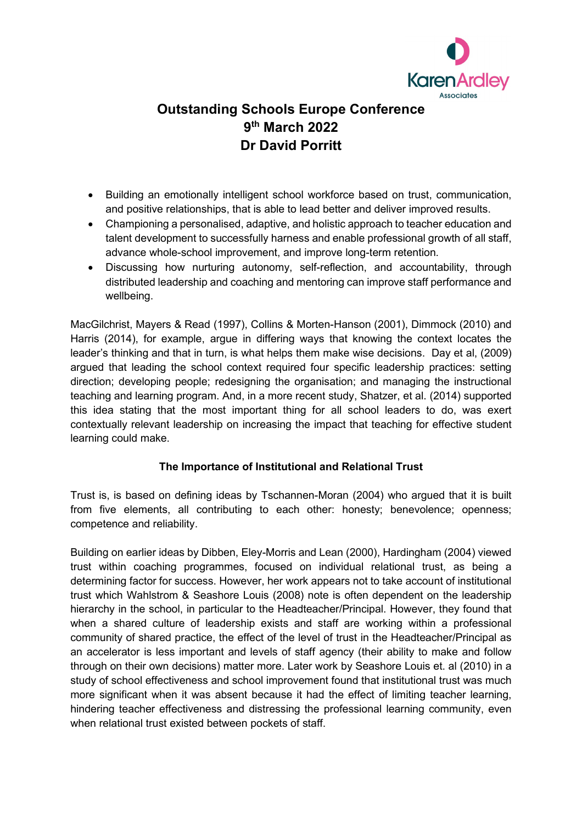

## **Outstanding Schools Europe Conference 9th March 2022 Dr David Porritt**

- Building an emotionally intelligent school workforce based on trust, communication, and positive relationships, that is able to lead better and deliver improved results.
- Championing a personalised, adaptive, and holistic approach to teacher education and talent development to successfully harness and enable professional growth of all staff, advance whole-school improvement, and improve long-term retention.
- Discussing how nurturing autonomy, self-reflection, and accountability, through distributed leadership and coaching and mentoring can improve staff performance and wellbeing.

MacGilchrist, Mayers & Read (1997), Collins & Morten-Hanson (2001), Dimmock (2010) and Harris (2014), for example, argue in differing ways that knowing the context locates the leader's thinking and that in turn, is what helps them make wise decisions. Day et al, (2009) argued that leading the school context required four specific leadership practices: setting direction; developing people; redesigning the organisation; and managing the instructional teaching and learning program. And, in a more recent study, Shatzer, et al. (2014) supported this idea stating that the most important thing for all school leaders to do, was exert contextually relevant leadership on increasing the impact that teaching for effective student learning could make.

## **The Importance of Institutional and Relational Trust**

Trust is, is based on defining ideas by Tschannen-Moran (2004) who argued that it is built from five elements, all contributing to each other: honesty; benevolence; openness; competence and reliability.

Building on earlier ideas by Dibben, Eley-Morris and Lean (2000), Hardingham (2004) viewed trust within coaching programmes, focused on individual relational trust, as being a determining factor for success. However, her work appears not to take account of institutional trust which Wahlstrom & Seashore Louis (2008) note is often dependent on the leadership hierarchy in the school, in particular to the Headteacher/Principal. However, they found that when a shared culture of leadership exists and staff are working within a professional community of shared practice, the effect of the level of trust in the Headteacher/Principal as an accelerator is less important and levels of staff agency (their ability to make and follow through on their own decisions) matter more. Later work by Seashore Louis et. al (2010) in a study of school effectiveness and school improvement found that institutional trust was much more significant when it was absent because it had the effect of limiting teacher learning, hindering teacher effectiveness and distressing the professional learning community, even when relational trust existed between pockets of staff.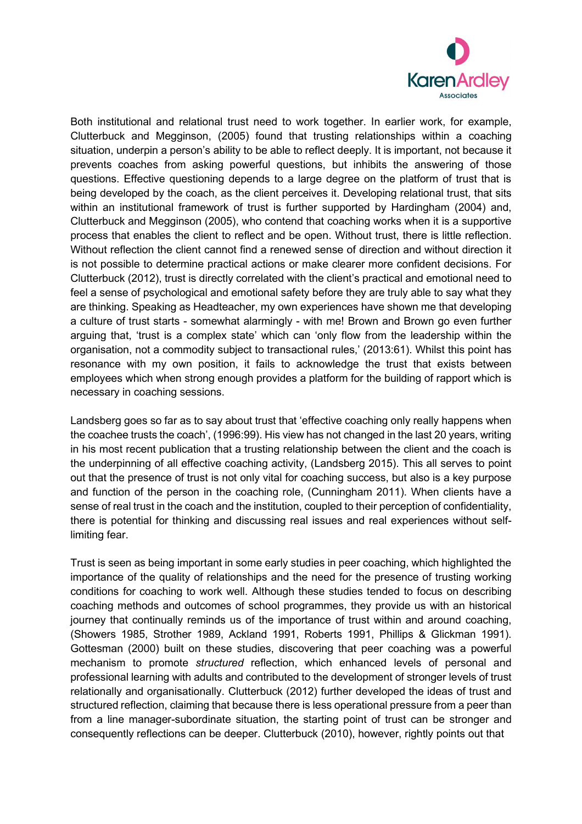

Both institutional and relational trust need to work together. In earlier work, for example, Clutterbuck and Megginson, (2005) found that trusting relationships within a coaching situation, underpin a person's ability to be able to reflect deeply. It is important, not because it prevents coaches from asking powerful questions, but inhibits the answering of those questions. Effective questioning depends to a large degree on the platform of trust that is being developed by the coach, as the client perceives it. Developing relational trust, that sits within an institutional framework of trust is further supported by Hardingham (2004) and, Clutterbuck and Megginson (2005), who contend that coaching works when it is a supportive process that enables the client to reflect and be open. Without trust, there is little reflection. Without reflection the client cannot find a renewed sense of direction and without direction it is not possible to determine practical actions or make clearer more confident decisions. For Clutterbuck (2012), trust is directly correlated with the client's practical and emotional need to feel a sense of psychological and emotional safety before they are truly able to say what they are thinking. Speaking as Headteacher, my own experiences have shown me that developing a culture of trust starts - somewhat alarmingly - with me! Brown and Brown go even further arguing that, 'trust is a complex state' which can 'only flow from the leadership within the organisation, not a commodity subject to transactional rules,' (2013:61). Whilst this point has resonance with my own position, it fails to acknowledge the trust that exists between employees which when strong enough provides a platform for the building of rapport which is necessary in coaching sessions.

Landsberg goes so far as to say about trust that 'effective coaching only really happens when the coachee trusts the coach', (1996:99). His view has not changed in the last 20 years, writing in his most recent publication that a trusting relationship between the client and the coach is the underpinning of all effective coaching activity, (Landsberg 2015). This all serves to point out that the presence of trust is not only vital for coaching success, but also is a key purpose and function of the person in the coaching role, (Cunningham 2011). When clients have a sense of real trust in the coach and the institution, coupled to their perception of confidentiality, there is potential for thinking and discussing real issues and real experiences without selflimiting fear.

Trust is seen as being important in some early studies in peer coaching, which highlighted the importance of the quality of relationships and the need for the presence of trusting working conditions for coaching to work well. Although these studies tended to focus on describing coaching methods and outcomes of school programmes, they provide us with an historical journey that continually reminds us of the importance of trust within and around coaching, (Showers 1985, Strother 1989, Ackland 1991, Roberts 1991, Phillips & Glickman 1991). Gottesman (2000) built on these studies, discovering that peer coaching was a powerful mechanism to promote *structured* reflection, which enhanced levels of personal and professional learning with adults and contributed to the development of stronger levels of trust relationally and organisationally. Clutterbuck (2012) further developed the ideas of trust and structured reflection, claiming that because there is less operational pressure from a peer than from a line manager-subordinate situation, the starting point of trust can be stronger and consequently reflections can be deeper. Clutterbuck (2010), however, rightly points out that